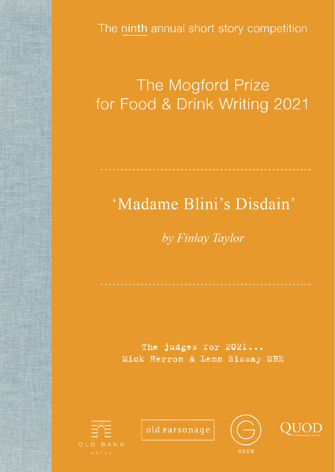The ninth annual short story competition

# The Mogford Prize for Food & Drink Writing 2021

# 'Madame Blini's Disdain'

The judges for 2021... Mick Herron & Lemn Sissay MBE



old parsonage



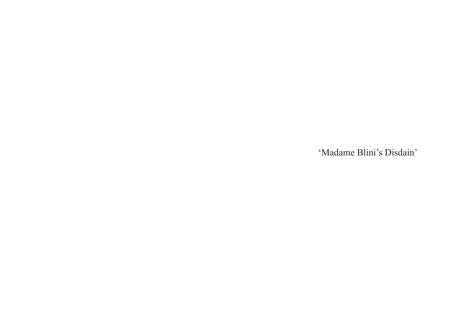'Madame Blini's Disdain'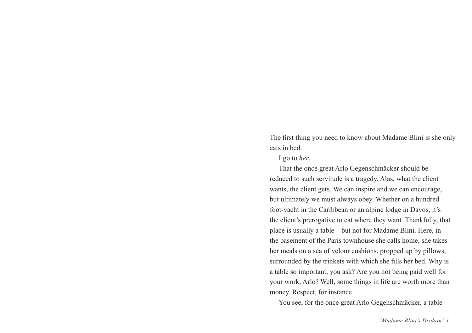The first thing you need to know about Madame Blini is she only eats in bed.

I go to *her*.

That the once great Arlo Gegenschmäcker should be reduced to such servitude is a tragedy. Alas, what the client wants, the client gets. We can inspire and we can encourage, but ultimately we must always obey. Whether on a hundred foot-yacht in the Caribbean or an alpine lodge in Davos, it's the client's prerogative to eat where they want. Thankfully, that place is usually a table – but not for Madame Blini. Here, in the basement of the Paris townhouse she calls home, she takes her meals on a sea of velour cushions, propped up by pillows, surrounded by the trinkets with which she fills her bed. Why is a table so important, you ask? Are you not being paid well for your work, Arlo? Well, some things in life are worth more than money. Respect, for instance.

You see, for the once great Arlo Gegenschmäcker, a table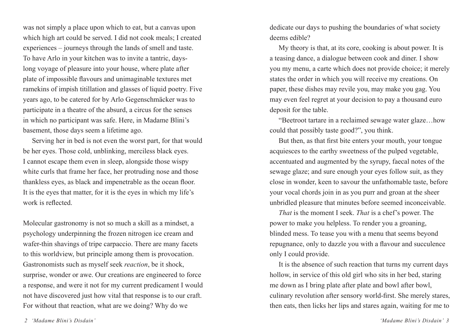was not simply a place upon which to eat, but a canvas upon which high art could be served. I did not cook meals; I created experiences – journeys through the lands of smell and taste. To have Arlo in your kitchen was to invite a tantric, dayslong voyage of pleasure into your house, where plate after plate of impossible flavours and unimaginable textures met ramekins of impish titillation and glasses of liquid poetry. Five years ago, to be catered for by Arlo Gegenschmäcker was to participate in a theatre of the absurd, a circus for the senses in which no participant was safe. Here, in Madame Blini's basement, those days seem a lifetime ago.

Serving her in bed is not even the worst part, for that would be her eyes. Those cold, unblinking, merciless black eyes. I cannot escape them even in sleep, alongside those wispy white curls that frame her face, her protruding nose and those thankless eyes, as black and impenetrable as the ocean floor. It is the eyes that matter, for it is the eyes in which my life's work is reflected.

Molecular gastronomy is not so much a skill as a mindset, a psychology underpinning the frozen nitrogen ice cream and wafer-thin shavings of tripe carpaccio. There are many facets to this worldview, but principle among them is provocation. Gastronomists such as myself seek *reaction*, be it shock, surprise, wonder or awe. Our creations are engineered to force a response, and were it not for my current predicament I would not have discovered just how vital that response is to our craft. For without that reaction, what are we doing? Why do we

dedicate our days to pushing the boundaries of what society deems edible?

My theory is that, at its core, cooking is about power. It is a teasing dance, a dialogue between cook and diner. I show you my menu, a carte which does not provide choice; it merely states the order in which you will receive my creations. On paper, these dishes may revile you, may make you gag. You may even feel regret at your decision to pay a thousand euro deposit for the table.

"Beetroot tartare in a reclaimed sewage water glaze…how could that possibly taste good?", you think.

But then, as that first bite enters your mouth, your tongue acquiesces to the earthy sweetness of the pulped vegetable, accentuated and augmented by the syrupy, faecal notes of the sewage glaze; and sure enough your eyes follow suit, as they close in wonder, keen to savour the unfathomable taste, before your vocal chords join in as you purr and groan at the sheer unbridled pleasure that minutes before seemed inconceivable.

*That* is the moment I seek. *That* is a chef's power. The power to make you helpless. To render you a groaning, blinded mess. To tease you with a menu that seems beyond repugnance, only to dazzle you with a flavour and succulence only I could provide.

It is the absence of such reaction that turns my current days hollow, in service of this old girl who sits in her bed, staring me down as I bring plate after plate and bowl after bowl, culinary revolution after sensory world-first. She merely stares, then eats, then licks her lips and stares again, waiting for me to

 *2 'Madame Blini's Disdain' 'Madame Blini's Disdain' 3*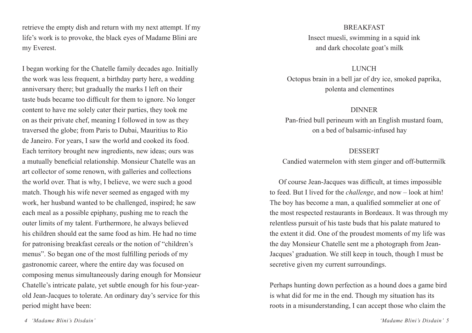retrieve the empty dish and return with my next attempt. If my life's work is to provoke, the black eyes of Madame Blini are my Everest.

I began working for the Chatelle family decades ago. Initially the work was less frequent, a birthday party here, a wedding anniversary there; but gradually the marks I left on their taste buds became too difficult for them to ignore. No longer content to have me solely cater their parties, they took me on as their private chef, meaning I followed in tow as they traversed the globe; from Paris to Dubai, Mauritius to Rio de Janeiro. For years, I saw the world and cooked its food. Each territory brought new ingredients, new ideas; ours was a mutually beneficial relationship. Monsieur Chatelle was an art collector of some renown, with galleries and collections the world over. That is why, I believe, we were such a good match. Though his wife never seemed as engaged with my work, her husband wanted to be challenged, inspired; he saw each meal as a possible epiphany, pushing me to reach the outer limits of my talent. Furthermore, he always believed his children should eat the same food as him. He had no time for patronising breakfast cereals or the notion of "children's menus". So began one of the most fulfilling periods of my gastronomic career, where the entire day was focused on composing menus simultaneously daring enough for Monsieur Chatelle's intricate palate, yet subtle enough for his four-yearold Jean-Jacques to tolerate. An ordinary day's service for this period might have been:

### **BREAKFAST**

Insect muesli, swimming in a squid ink and dark chocolate goat's milk

### **LUNCH**

Octopus brain in a bell jar of dry ice, smoked paprika, polenta and clementines

## DINNER

Pan-fried bull perineum with an English mustard foam, on a bed of balsamic-infused hay

# DESSERT

Candied watermelon with stem ginger and off-buttermilk

Of course Jean-Jacques was difficult, at times impossible to feed. But I lived for the *challenge*, and now – look at him! The boy has become a man, a qualified sommelier at one of the most respected restaurants in Bordeaux. It was through my relentless pursuit of his taste buds that his palate matured to the extent it did. One of the proudest moments of my life was the day Monsieur Chatelle sent me a photograph from Jean-Jacques' graduation. We still keep in touch, though I must be secretive given my current surroundings.

Perhaps hunting down perfection as a hound does a game bird is what did for me in the end. Though my situation has its roots in a misunderstanding, I can accept those who claim the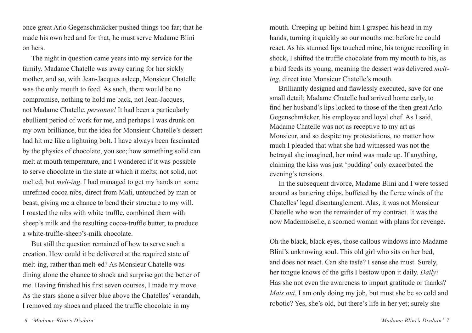once great Arlo Gegenschmäcker pushed things too far; that he made his own bed and for that, he must serve Madame Blini on hers.

The night in question came years into my service for the family. Madame Chatelle was away caring for her sickly mother, and so, with Jean-Jacques asleep, Monsieur Chatelle was the only mouth to feed. As such, there would be no compromise, nothing to hold me back, not Jean-Jacques, not Madame Chatelle, *personne!* It had been a particularly ebullient period of work for me, and perhaps I was drunk on my own brilliance, but the idea for Monsieur Chatelle's dessert had hit me like a lightning bolt. I have always been fascinated by the physics of chocolate, you see; how something solid can melt at mouth temperature, and I wondered if it was possible to serve chocolate in the state at which it melts; not solid, not melted, but *melt-ing*. I had managed to get my hands on some unrefined cocoa nibs, direct from Mali, untouched by man or beast, giving me a chance to bend their structure to my will. I roasted the nibs with white truffle, combined them with sheep's milk and the resulting cocoa-truffle butter, to produce a white-truffle-sheep's-milk chocolate.

But still the question remained of how to serve such a creation. How could it be delivered at the required state of melt-ing, rather than melt-ed? As Monsieur Chatelle was dining alone the chance to shock and surprise got the better of me. Having finished his first seven courses, I made my move. As the stars shone a silver blue above the Chatelles' verandah, I removed my shoes and placed the truffle chocolate in my

mouth. Creeping up behind him I grasped his head in my hands, turning it quickly so our mouths met before he could react. As his stunned lips touched mine, his tongue recoiling in shock, I shifted the truffle chocolate from my mouth to his, as a bird feeds its young, meaning the dessert was delivered *melting*, direct into Monsieur Chatelle's mouth.

Brilliantly designed and flawlessly executed, save for one small detail; Madame Chatelle had arrived home early, to find her husband's lips locked to those of the then great Arlo Gegenschmäcker, his employee and loyal chef. As I said, Madame Chatelle was not as receptive to my art as Monsieur, and so despite my protestations, no matter how much I pleaded that what she had witnessed was not the betrayal she imagined, her mind was made up. If anything, claiming the kiss was just 'pudding' only exacerbated the evening's tensions.

In the subsequent divorce, Madame Blini and I were tossed around as bartering chips, buffeted by the fierce winds of the Chatelles' legal disentanglement. Alas, it was not Monsieur Chatelle who won the remainder of my contract. It was the now Mademoiselle, a scorned woman with plans for revenge.

Oh the black, black eyes, those callous windows into Madame Blini's unknowing soul. This old girl who sits on her bed, and does not react. Can she taste? I sense she must. Surely, her tongue knows of the gifts I bestow upon it daily. *Daily!* Has she not even the awareness to impart gratitude or thanks? *Mais oui*, I am only doing my job, but must she be so cold and robotic? Yes, she's old, but there's life in her yet; surely she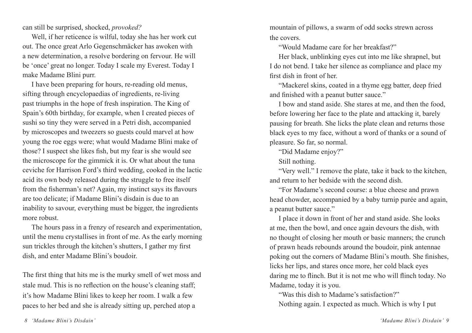can still be surprised, shocked, *provoked?*

Well, if her reticence is wilful, today she has her work cut out. The once great Arlo Gegenschmäcker has awoken with a new determination, a resolve bordering on fervour. He will be 'once' great no longer. Today I scale my Everest. Today I make Madame Blini purr.

I have been preparing for hours, re-reading old menus, sifting through encyclopaedias of ingredients, re-living past triumphs in the hope of fresh inspiration. The King of Spain's 60th birthday, for example, when I created pieces of sushi so tiny they were served in a Petri dish, accompanied by microscopes and tweezers so guests could marvel at how young the roe eggs were; what would Madame Blini make of those? I suspect she likes fish, but my fear is she would see the microscope for the gimmick it is. Or what about the tuna ceviche for Harrison Ford's third wedding, cooked in the lactic acid its own body released during the struggle to free itself from the fisherman's net? Again, my instinct says its flavours are too delicate; if Madame Blini's disdain is due to an inability to savour, everything must be bigger, the ingredients more robust.

The hours pass in a frenzy of research and experimentation, until the menu crystallises in front of me. As the early morning sun trickles through the kitchen's shutters, I gather my first dish, and enter Madame Blini's boudoir.

The first thing that hits me is the murky smell of wet moss and stale mud. This is no reflection on the house's cleaning staff; it's how Madame Blini likes to keep her room. I walk a few paces to her bed and she is already sitting up, perched atop a

mountain of pillows, a swarm of odd socks strewn across the covers.

"Would Madame care for her breakfast?"

Her black, unblinking eyes cut into me like shrapnel, but I do not bend. I take her silence as compliance and place my first dish in front of her.

"Mackerel skins, coated in a thyme egg batter, deep fried and finished with a peanut butter sauce."

I bow and stand aside. She stares at me, and then the food, before lowering her face to the plate and attacking it, barely pausing for breath. She licks the plate clean and returns those black eyes to my face, without a word of thanks or a sound of pleasure. So far, so normal.

"Did Madame enjoy?"

Still nothing.

"Very well." I remove the plate, take it back to the kitchen, and return to her bedside with the second dish.

"For Madame's second course: a blue cheese and prawn head chowder, accompanied by a baby turnip purée and again, a peanut butter sauce."

I place it down in front of her and stand aside. She looks at me, then the bowl, and once again devours the dish, with no thought of closing her mouth or basic manners; the crunch of prawn heads rebounds around the boudoir, pink antennae poking out the corners of Madame Blini's mouth. She finishes, licks her lips, and stares once more, her cold black eyes daring me to flinch. But it is not me who will flinch today. No Madame, today it is you.

"Was this dish to Madame's satisfaction?" Nothing again. I expected as much. Which is why I put